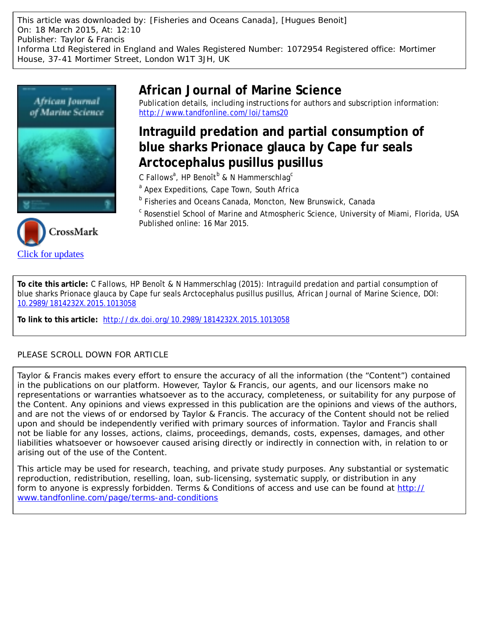This article was downloaded by: [Fisheries and Oceans Canada], [Hugues Benoit] On: 18 March 2015, At: 12:10 Publisher: Taylor & Francis Informa Ltd Registered in England and Wales Registered Number: 1072954 Registered office: Mortimer House, 37-41 Mortimer Street, London W1T 3JH, UK





**African Journal of Marine Science**

Publication details, including instructions for authors and subscription information: <http://www.tandfonline.com/loi/tams20>

# **Intraguild predation and partial consumption of blue sharks Prionace glauca by Cape fur seals Arctocephalus pusillus pusillus**

C Fallows<sup>a</sup>, HP Benoît $^{\text{\tiny{\text{b}}}}$  & N Hammerschlag $^{\text{\tiny{\text{c}}}}$ 

<sup>a</sup> Apex Expeditions, Cape Town, South Africa

**b Fisheries and Oceans Canada, Moncton, New Brunswick, Canada** 

<sup>c</sup> Rosenstiel School of Marine and Atmospheric Science, University of Miami, Florida, USA Published online: 16 Mar 2015.

**To cite this article:** C Fallows, HP Benoît & N Hammerschlag (2015): Intraguild predation and partial consumption of blue sharks Prionace glauca by Cape fur seals Arctocephalus pusillus pusillus, African Journal of Marine Science, DOI: [10.2989/1814232X.2015.1013058](http://www.tandfonline.com/action/showCitFormats?doi=10.2989/1814232X.2015.1013058)

**To link to this article:** <http://dx.doi.org/10.2989/1814232X.2015.1013058>

### PLEASE SCROLL DOWN FOR ARTICLE

Taylor & Francis makes every effort to ensure the accuracy of all the information (the "Content") contained in the publications on our platform. However, Taylor & Francis, our agents, and our licensors make no representations or warranties whatsoever as to the accuracy, completeness, or suitability for any purpose of the Content. Any opinions and views expressed in this publication are the opinions and views of the authors, and are not the views of or endorsed by Taylor & Francis. The accuracy of the Content should not be relied upon and should be independently verified with primary sources of information. Taylor and Francis shall not be liable for any losses, actions, claims, proceedings, demands, costs, expenses, damages, and other liabilities whatsoever or howsoever caused arising directly or indirectly in connection with, in relation to or arising out of the use of the Content.

This article may be used for research, teaching, and private study purposes. Any substantial or systematic reproduction, redistribution, reselling, loan, sub-licensing, systematic supply, or distribution in any form to anyone is expressly forbidden. Terms & Conditions of access and use can be found at [http://](http://www.tandfonline.com/page/terms-and-conditions) [www.tandfonline.com/page/terms-and-conditions](http://www.tandfonline.com/page/terms-and-conditions)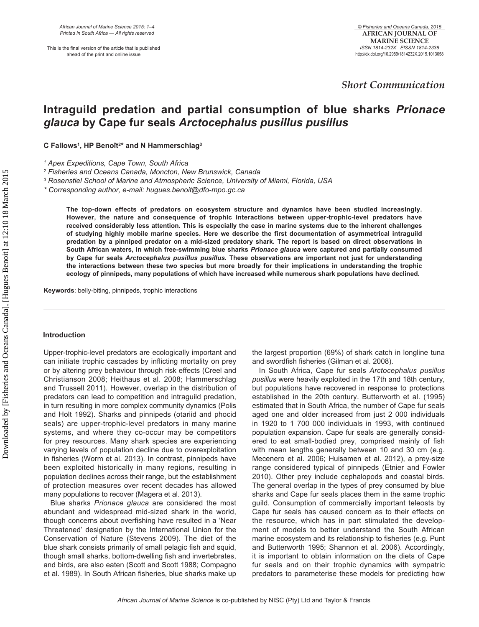This is the final version of the article that is published ahead of the print and online issue

 *Short Communication* 

## **Intraguild predation and partial consumption of blue sharks** *Prionace glauca* **by Cape fur seals** *Arctocephalus pusillus pusillus*

**C Fallows1, HP Benoît2\* and N Hammerschlag3**

*1 Apex Expeditions, Cape Town, South Africa*

*2 Fisheries and Oceans Canada, Moncton, New Brunswick, Canada*

*3 Rosenstiel School of Marine and Atmospheric Science, University of Miami, Florida, USA*

*\* Corresponding author, e-mail: hugues.benoit@dfo-mpo.gc.ca*

**The top-down effects of predators on ecosystem structure and dynamics have been studied increasingly. However, the nature and consequence of trophic interactions between upper-trophic-level predators have received considerably less attention. This is especially the case in marine systems due to the inherent challenges of studying highly mobile marine species. Here we describe the first documentation of asymmetrical intraguild predation by a pinniped predator on a mid-sized predatory shark. The report is based on direct observations in South African waters, in which free-swimming blue sharks** *Prionace glauca* **were captured and partially consumed by Cape fur seals** *Arctocephalus pusillus pusillus***. These observations are important not just for understanding the interactions between these two species but more broadly for their implications in understanding the trophic ecology of pinnipeds, many populations of which have increased while numerous shark populations have declined.**

**Keywords**: belly-biting, pinnipeds, trophic interactions

#### **Introduction**

Upper-trophic-level predators are ecologically important and can initiate trophic cascades by inflicting mortality on prey or by altering prey behaviour through risk effects (Creel and Christianson 2008; Heithaus et al. 2008; Hammerschlag and Trussell 2011). However, overlap in the distribution of predators can lead to competition and intraguild predation, in turn resulting in more complex community dynamics (Polis and Holt 1992). Sharks and pinnipeds (otariid and phocid seals) are upper-trophic-level predators in many marine systems, and where they co-occur may be competitors for prey resources. Many shark species are experiencing varying levels of population decline due to overexploitation in fisheries (Worm et al. 2013). In contrast, pinnipeds have been exploited historically in many regions, resulting in population declines across their range, but the establishment of protection measures over recent decades has allowed many populations to recover (Magera et al. 2013).

Blue sharks *Prionace glauca* are considered the most abundant and widespread mid-sized shark in the world, though concerns about overfishing have resulted in a 'Near Threatened' designation by the International Union for the Conservation of Nature (Stevens 2009). The diet of the blue shark consists primarily of small pelagic fish and squid, though small sharks, bottom-dwelling fish and invertebrates, and birds, are also eaten (Scott and Scott 1988; Compagno et al. 1989). In South African fisheries, blue sharks make up

the largest proportion (69%) of shark catch in longline tuna and swordfish fisheries (Gilman et al. 2008).

In South Africa, Cape fur seals *Arctocephalus pusillus pusillus* were heavily exploited in the 17th and 18th century, but populations have recovered in response to protections established in the 20th century. Butterworth et al. (1995) estimated that in South Africa, the number of Cape fur seals aged one and older increased from just 2 000 individuals in 1920 to 1 700 000 individuals in 1993, with continued population expansion. Cape fur seals are generally considered to eat small-bodied prey, comprised mainly of fish with mean lengths generally between 10 and 30 cm (e.g. Mecenero et al. 2006; Huisamen et al. 2012), a prey-size range considered typical of pinnipeds (Etnier and Fowler 2010). Other prey include cephalopods and coastal birds. The general overlap in the types of prey consumed by blue sharks and Cape fur seals places them in the same trophic guild. Consumption of commercially important teleosts by Cape fur seals has caused concern as to their effects on the resource, which has in part stimulated the development of models to better understand the South African marine ecosystem and its relationship to fisheries (e.g. Punt and Butterworth 1995; Shannon et al. 2006). Accordingly, it is important to obtain information on the diets of Cape fur seals and on their trophic dynamics with sympatric predators to parameterise these models for predicting how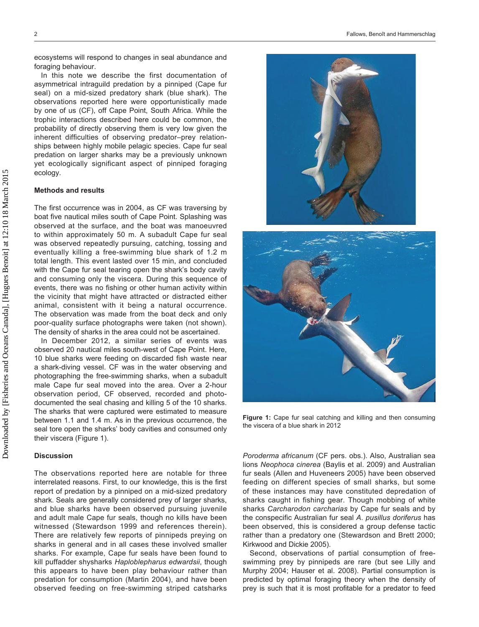ecosystems will respond to changes in seal abundance and foraging behaviour.

In this note we describe the first documentation of asymmetrical intraguild predation by a pinniped (Cape fur seal) on a mid-sized predatory shark (blue shark). The observations reported here were opportunistically made by one of us (CF), off Cape Point, South Africa. While the trophic interactions described here could be common, the probability of directly observing them is very low given the inherent difficulties of observing predator–prey relationships between highly mobile pelagic species. Cape fur seal predation on larger sharks may be a previously unknown yet ecologically significant aspect of pinniped foraging ecology.

#### **Methods and results**

The first occurrence was in 2004, as CF was traversing by boat five nautical miles south of Cape Point. Splashing was observed at the surface, and the boat was manoeuvred to within approximately 50 m. A subadult Cape fur seal was observed repeatedly pursuing, catching, tossing and eventually killing a free-swimming blue shark of 1.2 m total length. This event lasted over 15 min, and concluded with the Cape fur seal tearing open the shark's body cavity and consuming only the viscera. During this sequence of events, there was no fishing or other human activity within the vicinity that might have attracted or distracted either animal, consistent with it being a natural occurrence. The observation was made from the boat deck and only poor-quality surface photographs were taken (not shown). The density of sharks in the area could not be ascertained.

In December 2012, a similar series of events was observed 20 nautical miles south-west of Cape Point. Here, 10 blue sharks were feeding on discarded fish waste near a shark-diving vessel. CF was in the water observing and photographing the free-swimming sharks, when a subadult male Cape fur seal moved into the area. Over a 2-hour observation period, CF observed, recorded and photodocumented the seal chasing and killing 5 of the 10 sharks. The sharks that were captured were estimated to measure between 1.1 and 1.4 m. As in the previous occurrence, the seal tore open the sharks' body cavities and consumed only their viscera (Figure 1).

#### **Discussion**

The observations reported here are notable for three interrelated reasons. First, to our knowledge, this is the first report of predation by a pinniped on a mid-sized predatory shark. Seals are generally considered prey of larger sharks, and blue sharks have been observed pursuing juvenile and adult male Cape fur seals, though no kills have been witnessed (Stewardson 1999 and references therein). There are relatively few reports of pinnipeds preying on sharks in general and in all cases these involved smaller sharks. For example, Cape fur seals have been found to kill puffadder shysharks *Haploblepharus edwardsii*, though this appears to have been play behaviour rather than predation for consumption (Martin 2004), and have been observed feeding on free-swimming striped catsharks





**Figure 1:** Cape fur seal catching and killing and then consuming the viscera of a blue shark in 2012

*Poroderma africanum* (CF pers. obs.). Also, Australian sea lions *Neophoca cinerea* (Baylis et al. 2009) and Australian fur seals (Allen and Huveneers 2005) have been observed feeding on different species of small sharks, but some of these instances may have constituted depredation of sharks caught in fishing gear. Though mobbing of white sharks *Carcharodon carcharias* by Cape fur seals and by the conspecific Australian fur seal *A*. *pusillus doriferus* has been observed, this is considered a group defense tactic rather than a predatory one (Stewardson and Brett 2000; Kirkwood and Dickie 2005).

Second, observations of partial consumption of freeswimming prey by pinnipeds are rare (but see Lilly and Murphy 2004; Hauser et al. 2008). Partial consumption is predicted by optimal foraging theory when the density of prey is such that it is most profitable for a predator to feed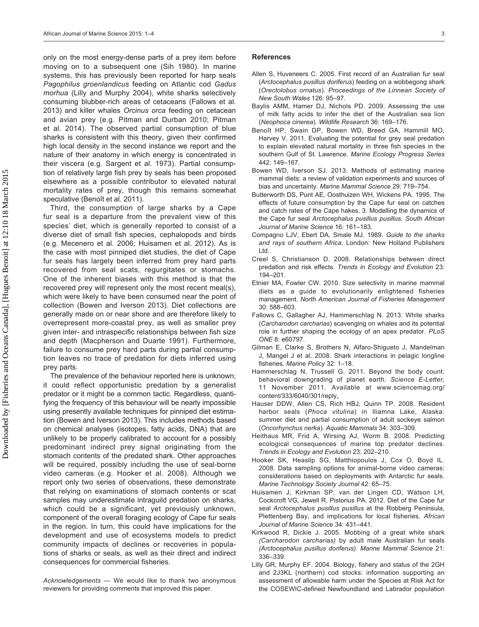only on the most energy-dense parts of a prey item before moving on to a subsequent one (Sih 1980). In marine systems, this has previously been reported for harp seals *Pagophilus groenlandicus* feeding on Atlantic cod *Gadus morhua* (Lilly and Murphy 2004), white sharks selectively consuming blubber-rich areas of cetaceans (Fallows et al. 2013) and killer whales *Orcinus orca* feeding on cetacean and avian prey (e.g. Pitman and Durban 2010; Pitman et al. 2014). The observed partial consumption of blue sharks is consistent with this theory, given their confirmed high local density in the second instance we report and the nature of their anatomy in which energy is concentrated in their viscera (e.g. Sargent et al. 1973). Partial consumption of relatively large fish prey by seals has been proposed elsewhere as a possible contributor to elevated natural mortality rates of prey, though this remains somewhat speculative (Benoît et al. 2011).

Third, the consumption of large sharks by a Cape fur seal is a departure from the prevalent view of this species' diet, which is generally reported to consist of a diverse diet of small fish species, cephalopods and birds (e.g. Mecenero et al. 2006; Huisamen et al. 2012). As is the case with most pinniped diet studies, the diet of Cape fur seals has largely been inferred from prey hard parts recovered from seal scats, regurgitates or stomachs. One of the inherent biases with this method is that the recovered prey will represent only the most recent meal(s), which were likely to have been consumed near the point of collection (Bowen and Iverson 2013). Diet collections are generally made on or near shore and are therefore likely to overrepresent more-coastal prey, as well as smaller prey given inter- and intraspecific relationships between fish size and depth (Macpherson and Duarte 1991). Furthermore, failure to consume prey hard parts during partial consumption leaves no trace of predation for diets inferred using prey parts.

The prevalence of the behaviour reported here is unknown; it could reflect opportunistic predation by a generalist predator or it might be a common tactic. Regardless, quantifying the frequency of this behaviour will be nearly impossible using presently available techniques for pinniped diet estimation (Bowen and Iverson 2013). This includes methods based on chemical analyses (isotopes, fatty acids, DNA) that are unlikely to be properly calibrated to account for a possibly predominant indirect prey signal originating from the stomach contents of the predated shark. Other approaches will be required, possibly including the use of seal-borne video cameras (e.g. Hooker et al. 2008). Although we report only two series of observations, these demonstrate that relying on examinations of stomach contents or scat samples may underestimate intraguild predation on sharks, which could be a significant, yet previously unknown, component of the overall foraging ecology of Cape fur seals in the region. In turn, this could have implications for the development and use of ecosystems models to predict community impacts of declines or recoveries in populations of sharks or seals, as well as their direct and indirect consequences for commercial fisheries.

*Acknowledgements* — We would like to thank two anonymous reviewers for providing comments that improved this paper.

#### **References**

- Allen S, Huveneers C. 2005. First record of an Australian fur seal (*Arctocephalus pusillus doriferus*) feeding on a wobbegong shark (*Orectolobus ornatus*). *Proceedings of the Linnean Society of New South Wales* 126: 95–97.
- Baylis AMM, Hamer DJ, Nichols PD. 2009. Assessing the use of milk fatty acids to infer the diet of the Australian sea lion (*Neophoca cinerea*). *Wildlife Research* 36: 169–176.
- Benoît HP, Swain DP, Bowen WD, Breed GA, Hammill MO, Harvey V. 2011. Evaluating the potential for grey seal predation to explain elevated natural mortality in three fish species in the southern Gulf of St. Lawrence. *Marine Ecology Progress Series* 442: 149–167.
- Bowen WD, Iverson SJ. 2013. Methods of estimating marine mammal diets: a review of validation experiments and sources of bias and uncertainty. *Marine Mammal Science* 29: 719–754.
- Butterworth DS, Punt AE, Oosthuizen WH, Wickens PA. 1995. The effects of future consumption by the Cape fur seal on catches and catch rates of the Cape hakes. 3. Modelling the dynamics of the Cape fur seal *Arctocephalus pusillus pusillus*. *South African Journal of Marine Science* 16: 161–183.
- Compagno LJV, Ebert DA, Smale MJ. 1989. *Guide to the sharks and rays of southern Africa*. London: New Holland Publishers Ltd.
- Creel S, Christianson D. 2008. Relationships between direct predation and risk effects. *Trends in Ecology and Evolution* 23: 194–201.
- Etnier MA, Fowler CW. 2010. Size selectivity in marine mammal diets as a guide to evolutionarily enlightened fisheries management. *North American Journal of Fisheries Management* 30: 588–603.
- Fallows C, Gallagher AJ, Hammerschlag N. 2013. White sharks (*Carcharodon carcharias*) scavenging on whales and its potential role in further shaping the ecology of an apex predator. *PLoS ONE* 8: e60797.
- Gilman E, Clarke S, Brothers N, Alfaro-Shigueto J, Mandelman J, Mangel J et al. 2008. Shark interactions in pelagic longline fisheries. *Marine Policy* 32: 1–18.
- Hammerschlag N, Trussell G. 2011. Beyond the body count: behavioral downgrading of planet earth. *Science E-Letter*, 11 November 2011. Available at www.sciencemag.org/ content/333/6040/301/reply.
- Hauser DDW, Allen CS, Rich HBJ, Quinn TP. 2008. Resident harbor seals (*Phoca vitulina*) in Iliamna Lake, Alaska: summer diet and partial consumption of adult sockeye salmon (*Oncorhynchus nerka*). *Aquatic Mammals* 34: 303–309.
- Heithaus MR, Frid A, Wirsing AJ, Worm B. 2008. Predicting ecological consequences of marine top predator declines. *Trends in Ecology and Evolution* 23: 202–210.
- Hooker SK, Heaslip SG, Matthiopoulos J, Cox O, Boyd IL. 2008. Data sampling options for animal-borne video cameras: considerations based on deployments with Antarctic fur seals. *Marine Technology Society Journal* 42: 65–75.
- Huisamen J, Kirkman SP, van der Lingen CD, Watson LH, Cockcroft VG, Jewell R, Pistorius PA. 2012. Diet of the Cape fur seal *Arctocephalus pusillus pusillus* at the Robberg Peninsula, Plettenberg Bay, and implications for local fisheries. *African Journal of Marine Science* 34: 431–441.
- Kirkwood R, Dickie J. 2005. Mobbing of a great white shark *(Carcharodon carcharias)* by adult male Australian fur seals *(Arctocephalus pusillus doriferus)*. *Marine Mammal Science* 21: 336–339.
- Lilly GR, Murphy EF. 2004. Biology, fishery and status of the 2GH and 2J3KL (northern) cod stocks: information supporting an assessment of allowable harm under the Species at Risk Act for the COSEWIC-defined Newfoundland and Labrador population